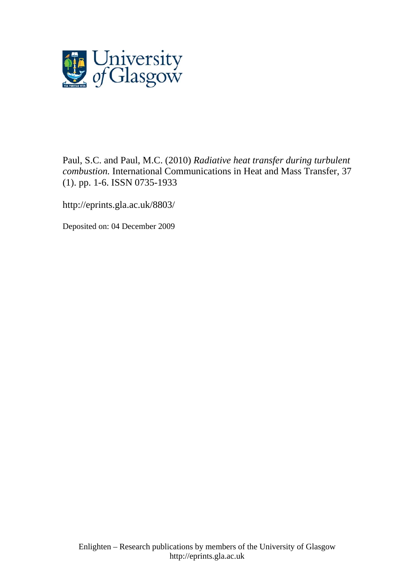

Paul, S.C. and Paul, M.C. (2010) *Radiative heat transfer during turbulent combustion.* International Communications in Heat and Mass Transfer, 37 (1). pp. 1-6. ISSN 0735-1933

http://eprints.gla.ac.uk/8803/

Deposited on: 04 December 2009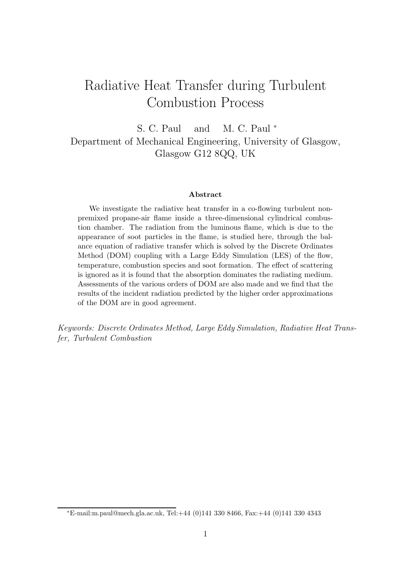# Radiative Heat Transfer during Turbulent Combustion Process

S. C. Paul and M. C. Paul <sup>\*</sup> Department of Mechanical Engineering, University of Glasgow, Glasgow G12 8QQ, UK

#### Abstract

We investigate the radiative heat transfer in a co-flowing turbulent nonpremixed propane-air flame inside a three-dimensional cylindrical combustion chamber. The radiation from the luminous flame, which is due to the appearance of soot particles in the flame, is studied here, through the balance equation of radiative transfer which is solved by the Discrete Ordinates Method (DOM) coupling with a Large Eddy Simulation (LES) of the flow, temperature, combustion species and soot formation. The effect of scattering is ignored as it is found that the absorption dominates the radiating medium. Assessments of the various orders of DOM are also made and we find that the results of the incident radiation predicted by the higher order approximations of the DOM are in good agreement.

Keywords: Discrete Ordinates Method, Large Eddy Simulation, Radiative Heat Transfer, Turbulent Combustion

<sup>∗</sup>E-mail:m.paul@mech.gla.ac.uk, Tel:+44 (0)141 330 8466, Fax:+44 (0)141 330 4343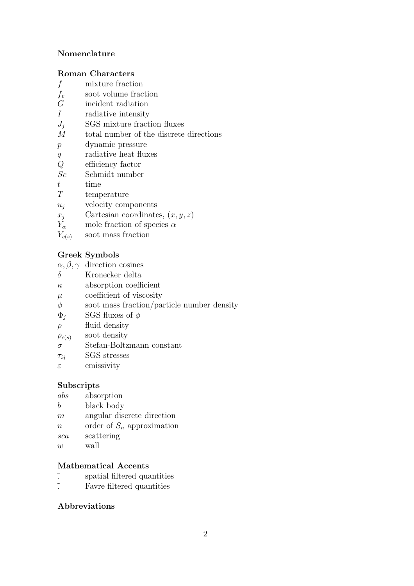#### Nomenclature

#### Roman Characters

- f mixture fraction
- $f_v$  soot volume fraction
- G incident radiation
- I radiative intensity
- $J_i$  SGS mixture fraction fluxes
- M total number of the discrete directions
- p dynamic pressure
- q radiative heat fluxes
- Q efficiency factor
- Sc Schmidt number
- $t$  time
- T temperature
- $u_i$  velocity components
- $x_j$  Cartesian coordinates,  $(x, y, z)$
- $Y_\alpha$  mole fraction of species  $\alpha$
- $Y_{c(s)}$  soot mass fraction

### Greek Symbols

- $\alpha, \beta, \gamma$  direction cosines
- $\delta$  Kronecker delta
- $\kappa$  absorption coefficient
- $\mu$  coefficient of viscosity
- $\phi$  soot mass fraction/particle number density
- $\Phi_i$  SGS fluxes of  $\phi$
- $\rho$  fluid density
- $\rho_{c(s)}$  soot density
- $\sigma$  Stefan-Boltzmann constant
- $\tau_{ij}$  SGS stresses
- $\varepsilon$  emissivity

### Subscripts

- absorption
- b black body
- m angular discrete direction
- $n \quad \text{order of } S_n \text{ approximation}$
- sca scattering
- $w$  wall

### Mathematical Accents

- spatial filtered quantities
- Favre filtered quantities

### Abbreviations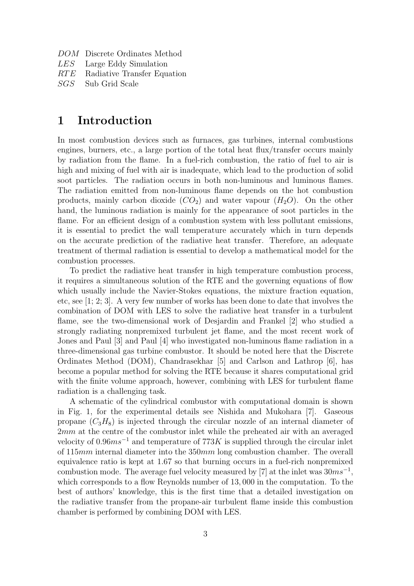DOM Discrete Ordinates Method

LES Large Eddy Simulation

RTE Radiative Transfer Equation

SGS Sub Grid Scale

# 1 Introduction

In most combustion devices such as furnaces, gas turbines, internal combustions engines, burners, etc., a large portion of the total heat flux/transfer occurs mainly by radiation from the flame. In a fuel-rich combustion, the ratio of fuel to air is high and mixing of fuel with air is inadequate, which lead to the production of solid soot particles. The radiation occurs in both non-luminous and luminous flames. The radiation emitted from non-luminous flame depends on the hot combustion products, mainly carbon dioxide  $(CO_2)$  and water vapour  $(H_2O)$ . On the other hand, the luminous radiation is mainly for the appearance of soot particles in the flame. For an efficient design of a combustion system with less pollutant emissions, it is essential to predict the wall temperature accurately which in turn depends on the accurate prediction of the radiative heat transfer. Therefore, an adequate treatment of thermal radiation is essential to develop a mathematical model for the combustion processes.

To predict the radiative heat transfer in high temperature combustion process, it requires a simultaneous solution of the RTE and the governing equations of flow which usually include the Navier-Stokes equations, the mixture fraction equation, etc, see [1; 2; 3]. A very few number of works has been done to date that involves the combination of DOM with LES to solve the radiative heat transfer in a turbulent flame, see the two-dimensional work of Desjardin and Frankel [2] who studied a strongly radiating nonpremixed turbulent jet flame, and the most recent work of Jones and Paul [3] and Paul [4] who investigated non-luminous flame radiation in a three-dimensional gas turbine combustor. It should be noted here that the Discrete Ordinates Method (DOM), Chandrasekhar [5] and Carlson and Lathrop [6], has become a popular method for solving the RTE because it shares computational grid with the finite volume approach, however, combining with LES for turbulent flame radiation is a challenging task.

A schematic of the cylindrical combustor with computational domain is shown in Fig. 1, for the experimental details see Nishida and Mukohara [7]. Gaseous propane  $(C_3H_8)$  is injected through the circular nozzle of an internal diameter of 2mm at the centre of the combustor inlet while the preheated air with an averaged velocity of  $0.96ms^{-1}$  and temperature of 773K is supplied through the circular inlet of 115mm internal diameter into the 350mm long combustion chamber. The overall equivalence ratio is kept at 1.67 so that burning occurs in a fuel-rich nonpremixed combustion mode. The average fuel velocity measured by [7] at the inlet was  $30ms^{-1}$ , which corresponds to a flow Reynolds number of 13, 000 in the computation. To the best of authors' knowledge, this is the first time that a detailed investigation on the radiative transfer from the propane-air turbulent flame inside this combustion chamber is performed by combining DOM with LES.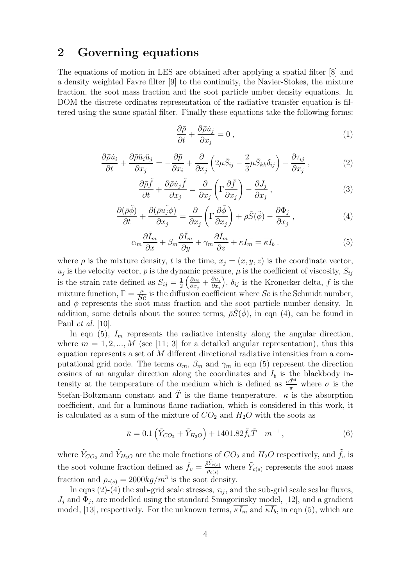### 2 Governing equations

The equations of motion in LES are obtained after applying a spatial filter [8] and a density weighted Favre filter [9] to the continuity, the Navier-Stokes, the mixture fraction, the soot mass fraction and the soot particle umber density equations. In DOM the discrete ordinates representation of the radiative transfer equation is filtered using the same spatial filter. Finally these equations take the following forms:

$$
\frac{\partial \bar{\rho}}{\partial t} + \frac{\partial \bar{\rho} \tilde{u}_j}{\partial x_j} = 0 , \qquad (1)
$$

$$
\frac{\partial \bar{\rho}\tilde{u}_i}{\partial t} + \frac{\partial \bar{\rho}\tilde{u}_i\tilde{u}_j}{\partial x_j} = -\frac{\partial \bar{p}}{\partial x_i} + \frac{\partial}{\partial x_j} \left( 2\mu \bar{S}_{ij} - \frac{2}{3}\mu \bar{S}_{kk}\delta_{ij} \right) - \frac{\partial \tau_{ij}}{\partial x_j} ,\qquad (2)
$$

$$
\frac{\partial \bar{\rho}\tilde{f}}{\partial t} + \frac{\partial \bar{\rho}\tilde{u}_j\tilde{f}}{\partial x_j} = \frac{\partial}{\partial x_j} \left( \Gamma \frac{\partial \bar{f}}{\partial x_j} \right) - \frac{\partial J_j}{\partial x_j},\tag{3}
$$

$$
\frac{\partial(\bar{\rho}\tilde{\phi})}{\partial t} + \frac{\partial(\bar{\rho}\tilde{u_j}\phi)}{\partial x_j} = \frac{\partial}{\partial x_j} \left( \Gamma \frac{\partial \tilde{\phi}}{\partial x_j} \right) + \bar{\rho}\tilde{S}(\tilde{\phi}) - \frac{\partial \Phi_j}{\partial x_j} ,\qquad (4)
$$

$$
\alpha_m \frac{\partial \bar{I}_m}{\partial x} + \beta_m \frac{\partial \bar{I}_m}{\partial y} + \gamma_m \frac{\partial \bar{I}_m}{\partial z} + \overline{\kappa I_m} = \overline{\kappa I_b} \,. \tag{5}
$$

where  $\rho$  is the mixture density, t is the time,  $x_j = (x, y, z)$  is the coordinate vector,  $u_j$  is the velocity vector, p is the dynamic pressure,  $\mu$  is the coefficient of viscosity,  $S_{ij}$ is the strain rate defined as  $S_{ij} = \frac{1}{2}$  $rac{1}{2} \left( \frac{\partial u_i}{\partial x_j} \right)$  $\frac{\partial u_i}{\partial x_j}+\frac{\partial u_j}{\partial x_i}$  $\partial x_i$ ),  $\delta_{ij}$  is the Kronecker delta, f is the mixture function,  $\Gamma = \frac{\mu}{Sc}$  is the diffusion coefficient where Sc is the Schmidt number, and  $\phi$  represents the soot mass fraction and the soot particle number density. In addition, some details about the source terms,  $\bar{\rho}S(\phi)$ , in eqn (4), can be found in Paul et al. [10].

In eqn  $(5)$ ,  $I_m$  represents the radiative intensity along the angular direction, where  $m = 1, 2, ..., M$  (see [11; 3] for a detailed angular representation), thus this equation represents a set of M different directional radiative intensities from a computational grid node. The terms  $\alpha_m$ ,  $\beta_m$  and  $\gamma_m$  in eqn (5) represent the direction cosines of an angular direction along the coordinates and  $I<sub>b</sub>$  is the blackbody intensity at the temperature of the medium which is defined as  $\frac{\sigma \tilde{T}^4}{\pi}$  where  $\sigma$  is the Stefan-Boltzmann constant and  $\tilde{T}$  is the flame temperature.  $\kappa$  is the absorption coefficient, and for a luminous flame radiation, which is considered in this work, it is calculated as a sum of the mixture of  $CO<sub>2</sub>$  and  $H<sub>2</sub>O$  with the soots as

$$
\bar{\kappa} = 0.1 \left( \tilde{Y}_{CO_2} + \tilde{Y}_{H_2O} \right) + 1401.82 \tilde{f}_v \tilde{T} \quad m^{-1} , \qquad (6)
$$

where  $\tilde{Y}_{CO_2}$  and  $\tilde{Y}_{H_2O}$  are the mole fractions of  $CO_2$  and  $H_2O$  respectively, and  $\tilde{f}_v$  is the soot volume fraction defined as  $\tilde{f}_v = \frac{\bar{p}\tilde{Y}_{c(s)}}{\rho_{c(s)}}$  where  $\tilde{Y}_{c(s)}$  represents the soot mass fraction and  $\rho_{c(s)} = 2000 kg/m^3$  is the soot density.

In eqns (2)-(4) the sub-grid scale stresses,  $\tau_{ij}$ , and the sub-grid scale scalar fluxes,  $J_j$  and  $\Phi_j$ , are modelled using the standard Smagorinsky model, [12], and a gradient model, [13], respectively. For the unknown terms,  $\overline{\kappa I_m}$  and  $\overline{\kappa I_b}$ , in eqn (5), which are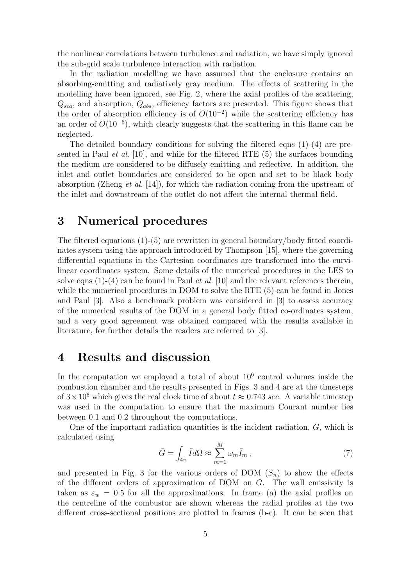the nonlinear correlations between turbulence and radiation, we have simply ignored the sub-grid scale turbulence interaction with radiation.

In the radiation modelling we have assumed that the enclosure contains an absorbing-emitting and radiatively gray medium. The effects of scattering in the modelling have been ignored, see Fig. 2, where the axial profiles of the scattering,  $Q_{sca}$ , and absorption,  $Q_{abs}$ , efficiency factors are presented. This figure shows that the order of absorption efficiency is of  $O(10^{-2})$  while the scattering efficiency has an order of  $O(10^{-6})$ , which clearly suggests that the scattering in this flame can be neglected.

The detailed boundary conditions for solving the filtered eqns (1)-(4) are presented in Paul *et al.* [10], and while for the filtered RTE  $(5)$  the surfaces bounding the medium are considered to be diffusely emitting and reflective. In addition, the inlet and outlet boundaries are considered to be open and set to be black body absorption (Zheng et al. [14]), for which the radiation coming from the upstream of the inlet and downstream of the outlet do not affect the internal thermal field.

### 3 Numerical procedures

The filtered equations (1)-(5) are rewritten in general boundary/body fitted coordinates system using the approach introduced by Thompson [15], where the governing differential equations in the Cartesian coordinates are transformed into the curvilinear coordinates system. Some details of the numerical procedures in the LES to solve eqns  $(1)-(4)$  can be found in Paul *et al.* [10] and the relevant references therein, while the numerical procedures in DOM to solve the RTE (5) can be found in Jones and Paul [3]. Also a benchmark problem was considered in [3] to assess accuracy of the numerical results of the DOM in a general body fitted co-ordinates system, and a very good agreement was obtained compared with the results available in literature, for further details the readers are referred to [3].

## 4 Results and discussion

In the computation we employed a total of about  $10^6$  control volumes inside the combustion chamber and the results presented in Figs. 3 and 4 are at the timesteps of  $3 \times 10^5$  which gives the real clock time of about  $t \approx 0.743$  sec. A variable timestep was used in the computation to ensure that the maximum Courant number lies between 0.1 and 0.2 throughout the computations.

One of the important radiation quantities is the incident radiation, G, which is calculated using

$$
\bar{G} = \int_{4\pi} \bar{I} d\Omega \approx \sum_{m=1}^{M} \omega_m \bar{I}_m , \qquad (7)
$$

and presented in Fig. 3 for the various orders of DOM  $(S_n)$  to show the effects of the different orders of approximation of DOM on G. The wall emissivity is taken as  $\varepsilon_w = 0.5$  for all the approximations. In frame (a) the axial profiles on the centreline of the combustor are shown whereas the radial profiles at the two different cross-sectional positions are plotted in frames (b-c). It can be seen that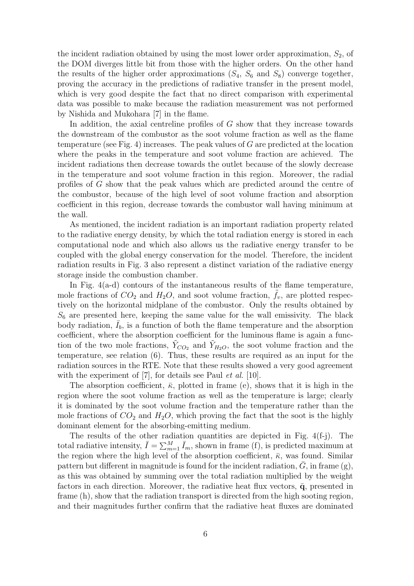the incident radiation obtained by using the most lower order approximation,  $S_2$ , of the DOM diverges little bit from those with the higher orders. On the other hand the results of the higher order approximations  $(S_4, S_6 \text{ and } S_8)$  converge together, proving the accuracy in the predictions of radiative transfer in the present model, which is very good despite the fact that no direct comparison with experimental data was possible to make because the radiation measurement was not performed by Nishida and Mukohara [7] in the flame.

In addition, the axial centreline profiles of G show that they increase towards the downstream of the combustor as the soot volume fraction as well as the flame temperature (see Fig. 4) increases. The peak values of  $G$  are predicted at the location where the peaks in the temperature and soot volume fraction are achieved. The incident radiations then decrease towards the outlet because of the slowly decrease in the temperature and soot volume fraction in this region. Moreover, the radial profiles of G show that the peak values which are predicted around the centre of the combustor, because of the high level of soot volume fraction and absorption coefficient in this region, decrease towards the combustor wall having minimum at the wall.

As mentioned, the incident radiation is an important radiation property related to the radiative energy density, by which the total radiation energy is stored in each computational node and which also allows us the radiative energy transfer to be coupled with the global energy conservation for the model. Therefore, the incident radiation results in Fig. 3 also represent a distinct variation of the radiative energy storage inside the combustion chamber.

In Fig. 4(a-d) contours of the instantaneous results of the flame temperature, mole fractions of  $CO_2$  and  $H_2O$ , and soot volume fraction,  $f_v$ , are plotted respectively on the horizontal midplane of the combustor. Only the results obtained by  $S_6$  are presented here, keeping the same value for the wall emissivity. The black body radiation,  $\bar{I}_b$ , is a function of both the flame temperature and the absorption coefficient, where the absorption coefficient for the luminous flame is again a function of the two mole fractions,  $\tilde{Y}_{CO_2}$  and  $\tilde{Y}_{H_2O}$ , the soot volume fraction and the temperature, see relation (6). Thus, these results are required as an input for the radiation sources in the RTE. Note that these results showed a very good agreement with the experiment of  $[7]$ , for details see Paul *et al.*  $[10]$ .

The absorption coefficient,  $\bar{\kappa}$ , plotted in frame (e), shows that it is high in the region where the soot volume fraction as well as the temperature is large; clearly it is dominated by the soot volume fraction and the temperature rather than the mole fractions of  $CO_2$  and  $H_2O$ , which proving the fact that the soot is the highly dominant element for the absorbing-emitting medium.

The results of the other radiation quantities are depicted in Fig. 4(f-j). The total radiative intensity,  $\bar{I} = \sum_{m=1}^{M} \bar{I}_m$ , shown in frame (f), is predicted maximum at the region where the high level of the absorption coefficient,  $\bar{\kappa}$ , was found. Similar pattern but different in magnitude is found for the incident radiation,  $G$ , in frame  $(g)$ , as this was obtained by summing over the total radiation multiplied by the weight factors in each direction. Moreover, the radiative heat flux vectors,  $\bar{q}$ , presented in frame (h), show that the radiation transport is directed from the high sooting region, and their magnitudes further confirm that the radiative heat fluxes are dominated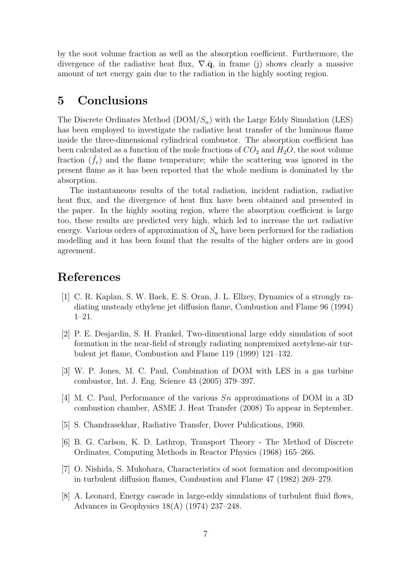by the soot volume fraction as well as the absorption coefficient. Furthermore, the divergence of the radiative heat flux,  $\nabla \cdot \bar{\mathbf{q}}$ , in frame (j) shows clearly a massive amount of net energy gain due to the radiation in the highly sooting region.

### 5 Conclusions

The Discrete Ordinates Method  $(DOM/S_n)$  with the Large Eddy Simulation (LES) has been employed to investigate the radiative heat transfer of the luminous flame inside the three-dimensional cylindrical combustor. The absorption coefficient has been calculated as a function of the mole fractions of  $CO_2$  and  $H_2O$ , the soot volume fraction  $(f_v)$  and the flame temperature; while the scattering was ignored in the present flame as it has been reported that the whole medium is dominated by the absorption.

The instantaneous results of the total radiation, incident radiation, radiative heat flux, and the divergence of heat flux have been obtained and presented in the paper. In the highly sooting region, where the absorption coefficient is large too, these results are predicted very high, which led to increase the net radiative energy. Various orders of approximation of  $S_n$  have been performed for the radiation modelling and it has been found that the results of the higher orders are in good agreement.

### References

- [1] C. R. Kaplan, S. W. Baek, E. S. Oran, J. L. Ellzey, Dynamics of a strongly radiating unsteady ethylene jet diffusion flame, Combustion and Flame 96 (1994) 1–21.
- [2] P. E. Desjardin, S. H. Frankel, Two-dimentional large eddy simulation of soot formation in the near-field of strongly radiating nonpremixed acetylene-air turbulent jet flame, Combustion and Flame 119 (1999) 121–132.
- [3] W. P. Jones, M. C. Paul, Combination of DOM with LES in a gas turbine combustor, Int. J. Eng. Science 43 (2005) 379–397.
- [4] M. C. Paul, Performance of the various  $Sn$  approximations of DOM in a 3D combustion chamber, ASME J. Heat Transfer (2008) To appear in September.
- [5] S. Chandrasekhar, Radiative Transfer, Dover Publications, 1960.
- [6] B. G. Carlson, K. D. Lathrop, Transport Theory The Method of Discrete Ordinates, Computing Methods in Reactor Physics (1968) 165–266.
- [7] O. Nishida, S. Mukohara, Characteristics of soot formation and decomposition in turbulent diffusion flames, Combustion and Flame 47 (1982) 269–279.
- [8] A. Leonard, Energy cascade in large-eddy simulations of turbulent fluid flows, Advances in Geophysics 18(A) (1974) 237–248.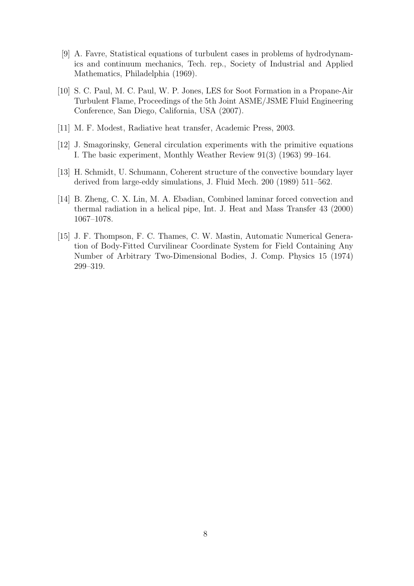- [9] A. Favre, Statistical equations of turbulent cases in problems of hydrodynamics and continuum mechanics, Tech. rep., Society of Industrial and Applied Mathematics, Philadelphia (1969).
- [10] S. C. Paul, M. C. Paul, W. P. Jones, LES for Soot Formation in a Propane-Air Turbulent Flame, Proceedings of the 5th Joint ASME/JSME Fluid Engineering Conference, San Diego, California, USA (2007).
- [11] M. F. Modest, Radiative heat transfer, Academic Press, 2003.
- [12] J. Smagorinsky, General circulation experiments with the primitive equations I. The basic experiment, Monthly Weather Review 91(3) (1963) 99–164.
- [13] H. Schmidt, U. Schumann, Coherent structure of the convective boundary layer derived from large-eddy simulations, J. Fluid Mech. 200 (1989) 511–562.
- [14] B. Zheng, C. X. Lin, M. A. Ebadian, Combined laminar forced convection and thermal radiation in a helical pipe, Int. J. Heat and Mass Transfer 43 (2000) 1067–1078.
- [15] J. F. Thompson, F. C. Thames, C. W. Mastin, Automatic Numerical Generation of Body-Fitted Curvilinear Coordinate System for Field Containing Any Number of Arbitrary Two-Dimensional Bodies, J. Comp. Physics 15 (1974) 299–319.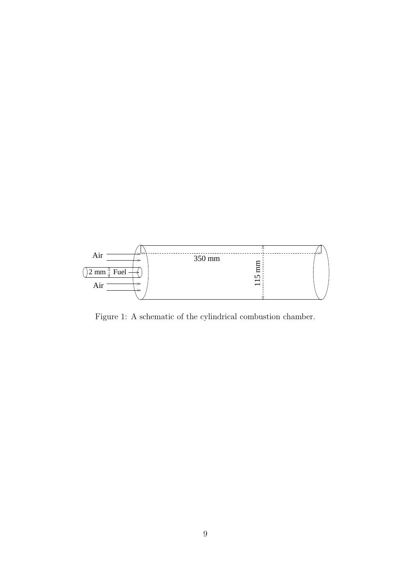

Figure 1: A schematic of the cylindrical combustion chamber.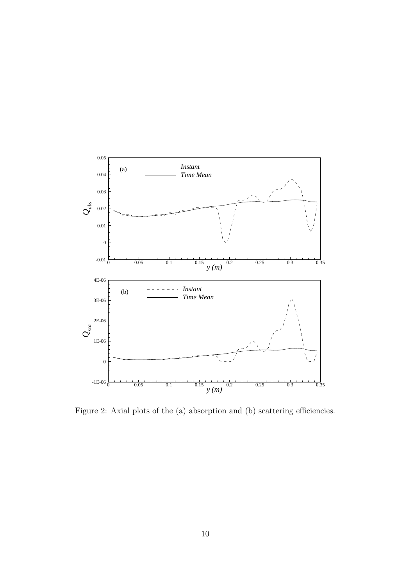

Figure 2: Axial plots of the (a) absorption and (b) scattering efficiencies.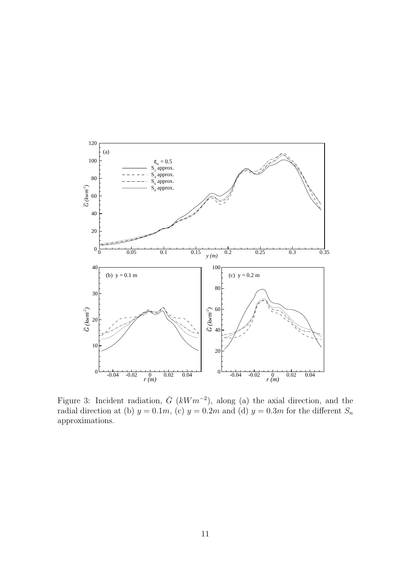

Figure 3: Incident radiation,  $\bar{G}$  (kWm<sup>-2</sup>), along (a) the axial direction, and the radial direction at (b)  $y = 0.1m$ , (c)  $y = 0.2m$  and (d)  $y = 0.3m$  for the different  $S_n$ approximations.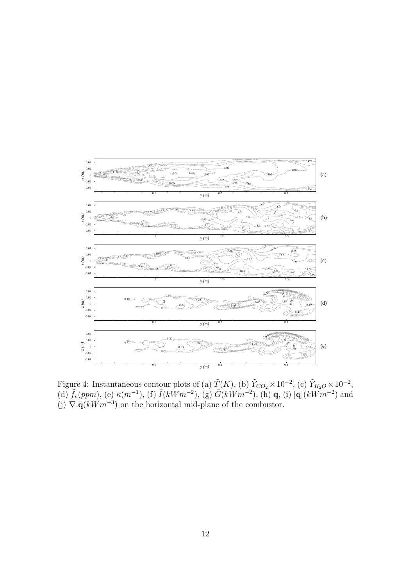

Figure 4: Instantaneous contour plots of (a)  $\tilde{T}(K)$ , (b)  $\tilde{Y}_{CO_2} \times 10^{-2}$ , (c)  $\tilde{Y}_{H_2O} \times 10^{-2}$ , (d)  $\tilde{f}_v(ppm)$ , (e)  $\bar{\kappa}(m^{-1})$ , (f)  $\bar{I}(kWm^{-2})$ , (g)  $\bar{G}(kWm^{-2})$ , (h)  $\bar{q}$ , (i)  $|\bar{q}|(kWm^{-2})$  and (j)  $\nabla \cdot \bar{\mathbf{q}}(kWm^{-3})$  on the horizontal mid-plane of the combustor.